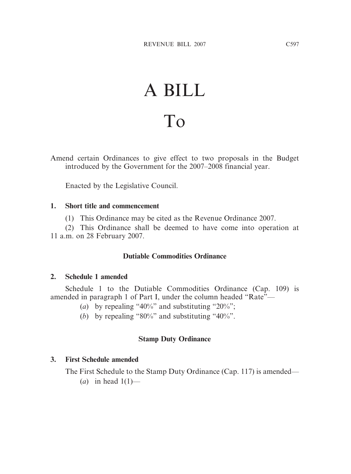# A BILL To

Amend certain Ordinances to give effect to two proposals in the Budget introduced by the Government for the 2007–2008 financial year.

Enacted by the Legislative Council.

#### **1. Short title and commencement**

(1) This Ordinance may be cited as the Revenue Ordinance 2007.

(2) This Ordinance shall be deemed to have come into operation at 11 a.m. on 28 February 2007.

## **Dutiable Commodities Ordinance**

#### **2. Schedule 1 amended**

Schedule 1 to the Dutiable Commodities Ordinance (Cap. 109) is amended in paragraph 1 of Part I, under the column headed "Rate"—

- (*a*) by repealing "40%" and substituting "20%";
- (*b*) by repealing "80%" and substituting "40%".

## **Stamp Duty Ordinance**

## **3. First Schedule amended**

The First Schedule to the Stamp Duty Ordinance (Cap. 117) is amended—

 $(a)$  in head  $1(1)$ —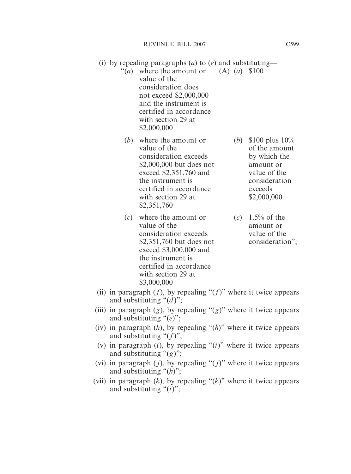- (i) by repealing paragraphs (*a*) to (*e*) and substituting—
	- "(*a*) where the amount or  $|(A) (a) \text{ } $100$ value of the consideration does not exceed \$2,000,000 and the instrument is certified in accordance with section 29 at \$2,000,000
		- (*b*) where the amount or  $\vert$  (*b*) \$100 plus 10% value of the same value of the amount consideration exceeds by which the  $$2,000,000$  but does not amount or exceed  $$2,351,760$  and value of the the instrument is the instrument is the instrument is the sensideration certified in accordance exceeds with section 29 at  $$2,000,000$ \$2,351,760
		- (*c*) where the amount or  $(c)$  1.5% of the value of the amount or consideration exceeds value of the \$2,351,760 but does not consideration"; exceed \$3,000,000 and the instrument is certified in accordance with section 29 at \$3,000,000
- -
- (ii) in paragraph  $(f)$ , by repealing " $(f)$ " where it twice appears and substituting "(*d* )";
- (iii) in paragraph  $(g)$ , by repealing " $(g)$ " where it twice appears and substituting "(*e*)";
- (iv) in paragraph (*h*), by repealing "(*h*)" where it twice appears and substituting "(*f*)";
- (v) in paragraph (*i*), by repealing "(*i*)" where it twice appears and substituting "(*g*)";
- (vi) in paragraph  $(j)$ , by repealing " $(j)$ " where it twice appears and substituting "(*h*)";
- (vii) in paragraph  $(k)$ , by repealing " $(k)$ " where it twice appears and substituting "(*i*)";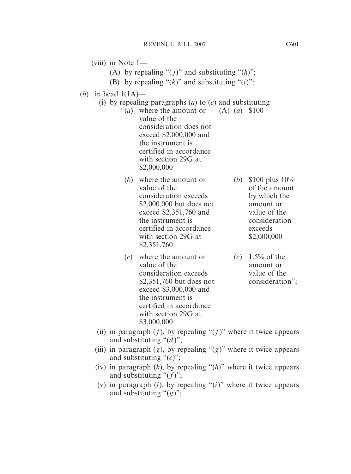(viii) in Note  $1-$ (A) by repealing " $(j)$ " and substituting " $(h)$ "; (B) by repealing " $(k)$ " and substituting " $(i)$ "; (*b*) in head 1(1A)— (i) by repealing paragraphs (*a*) to (*e*) and substituting— "(*a*) where the amount or  $|(A) (a) \text{ } $100$ value of the consideration does not exceed \$2,000,000 and the instrument is certified in accordance with section 29G at \$2,000,000 (*b*) where the amount or  $\vert$  (*b*) \$100 plus 10% value of the state of the amount consideration exceeds by which the  $$2,000,000$  but does not amount or exceed  $$2,351,760$  and value of the the instrument is the instrument is the instrument is the consideration certified in accordance exceeds with section  $29G$  at  $$2,000,000$ \$2,351,760 (*c*) where the amount or  $(c)$  1.5% of the value of the amount or consideration exceeds value of the \$2,351,760 but does not consideration"; exceed \$3,000,000 and the instrument is certified in accordance with section 29G at \$3,000,000 (ii) in paragraph  $(f)$ , by repealing " $(f)$ " where it twice appears and substituting "(*d* )"; (iii) in paragraph  $(g)$ , by repealing " $(g)$ " where it twice appears and substituting "(*e*)"; (iv) in paragraph (*h*), by repealing "(*h*)" where it twice appears and substituting "(*f*)";

(v) in paragraph (*i*), by repealing "(*i*)" where it twice appears and substituting "(*g*)";